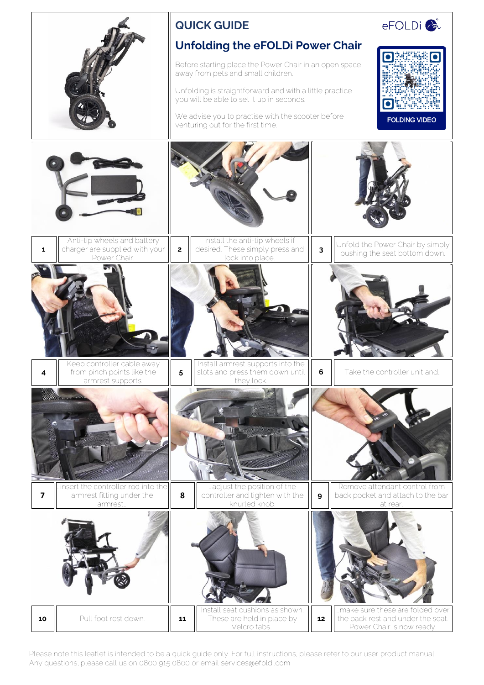

Please note this leaflet is intended to be a quick guide only. For full instructions, please refer to our user product manual. Any questions, please call us on 0800 915 0800 or email services@efoldi.com